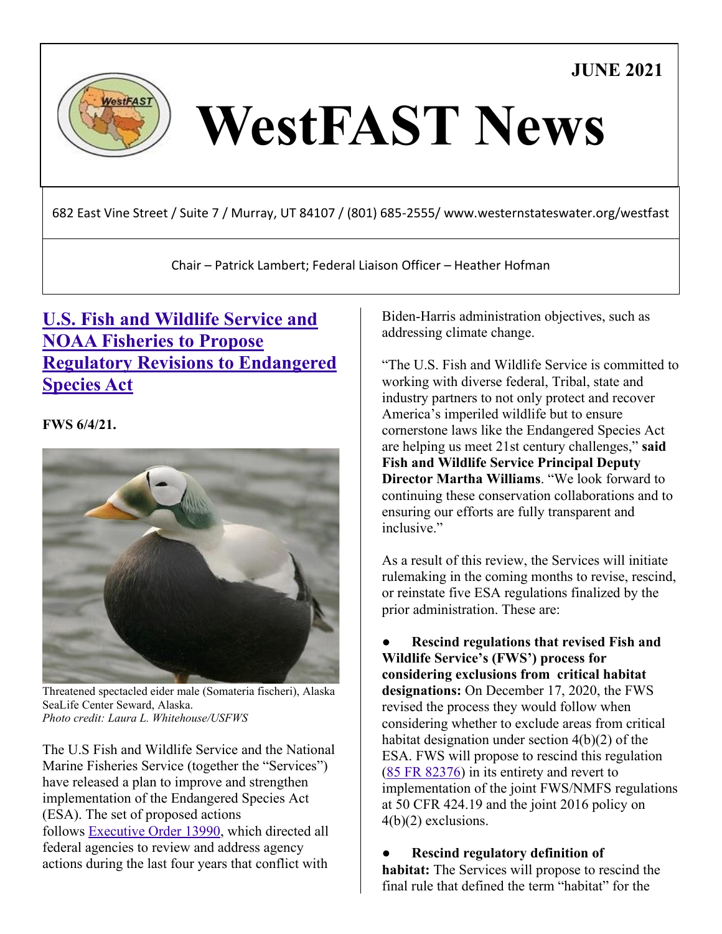**JUNE 2021**



# WestFAST News

682 East Vine Street / Suite 7 / Murray, UT 84107 / (801) 685-2555/ www.westernstateswater.org/westfast

Chair – Patrick Lambert; Federal Liaison Officer – Heather Hofman

## **[U.S. Fish and Wildlife Service and](https://www.fws.gov/news/ShowNews.cfm?ref=u.s.-fish-and-wildlife-service-and-noaa-fisheries-to-propose-regulatory-&_ID=36925)  [NOAA Fisheries to Propose](https://www.fws.gov/news/ShowNews.cfm?ref=u.s.-fish-and-wildlife-service-and-noaa-fisheries-to-propose-regulatory-&_ID=36925)  [Regulatory Revisions to Endangered](https://www.fws.gov/news/ShowNews.cfm?ref=u.s.-fish-and-wildlife-service-and-noaa-fisheries-to-propose-regulatory-&_ID=36925)  [Species Act](https://www.fws.gov/news/ShowNews.cfm?ref=u.s.-fish-and-wildlife-service-and-noaa-fisheries-to-propose-regulatory-&_ID=36925)**

**FWS 6/4/21.**



Threatened spectacled eider male (Somateria fischeri), Alaska SeaLife Center Seward, Alaska. *Photo credit: Laura L. Whitehouse/USFWS*

The U.S Fish and Wildlife Service and the National Marine Fisheries Service (together the "Services") have released a plan to improve and strengthen implementation of the Endangered Species Act (ESA). The set of proposed actions follows [Executive Order 13990,](https://www.federalregister.gov/documents/2021/01/25/2021-01765/protecting-public-health-and-the-environment-and-restoring-science-to-tackle-the-climate-crisis) which directed all federal agencies to review and address agency actions during the last four years that conflict with

Biden-Harris administration objectives, such as addressing climate change.

"The U.S. Fish and Wildlife Service is committed to working with diverse federal, Tribal, state and industry partners to not only protect and recover America's imperiled wildlife but to ensure cornerstone laws like the Endangered Species Act are helping us meet 21st century challenges," **said Fish and Wildlife Service Principal Deputy Director Martha Williams**. "We look forward to continuing these conservation collaborations and to ensuring our efforts are fully transparent and inclusive."

As a result of this review, the Services will initiate rulemaking in the coming months to revise, rescind, or reinstate five ESA regulations finalized by the prior administration. These are:

● **Rescind regulations that revised Fish and Wildlife Service's (FWS') process for considering exclusions from critical habitat designations:** On December 17, 2020, the FWS revised the process they would follow when considering whether to exclude areas from critical habitat designation under section 4(b)(2) of the ESA. FWS will propose to rescind this regulation [\(85 FR 82376\)](https://public-inspection.federalregister.gov/2020-28033.pdf) in its entirety and revert to implementation of the joint FWS/NMFS regulations at 50 CFR 424.19 and the joint 2016 policy on 4(b)(2) exclusions.

● **Rescind regulatory definition of** 

**habitat:** The Services will propose to rescind the final rule that defined the term "habitat" for the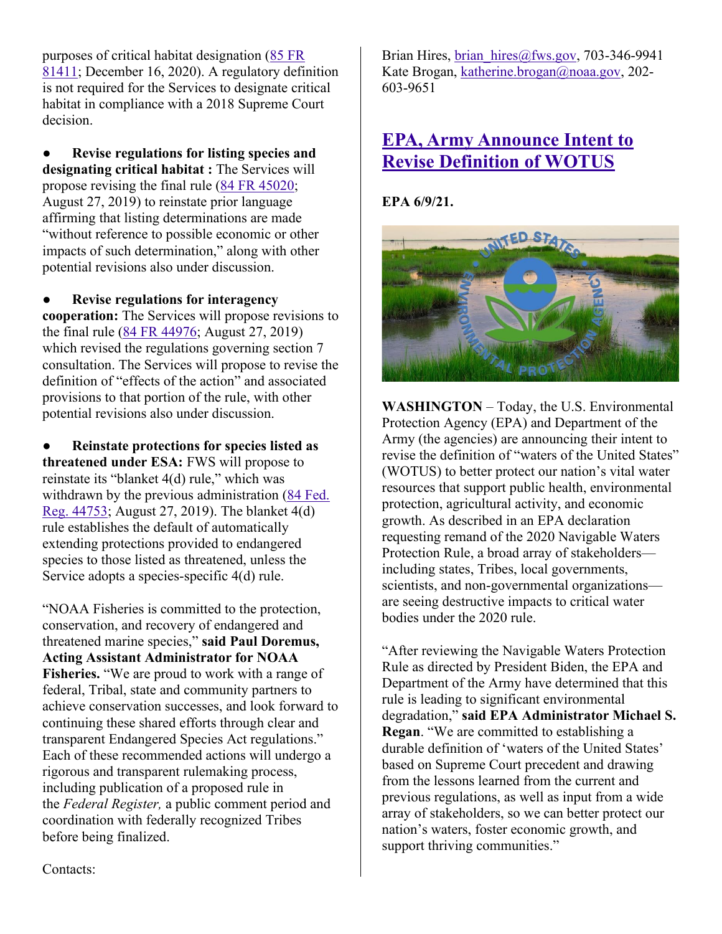purposes of critical habitat designation [\(85 FR](https://www.federalregister.gov/documents/2020/12/16/2020-27693/endangered-and-threatened-wildlife-and-plants-regulations-for-listing-endangered-and-threatened)  [81411;](https://www.federalregister.gov/documents/2020/12/16/2020-27693/endangered-and-threatened-wildlife-and-plants-regulations-for-listing-endangered-and-threatened) December 16, 2020). A regulatory definition is not required for the Services to designate critical habitat in compliance with a 2018 Supreme Court decision.

● **Revise regulations for listing species and designating critical habitat :** The Services will propose revising the final rule [\(84 FR 45020;](https://www.federalregister.gov/documents/2019/08/27/2019-17518/endangered-and-threatened-wildlife-and-plants-regulations-for-listing-species-and-designating) August 27, 2019) to reinstate prior language affirming that listing determinations are made "without reference to possible economic or other impacts of such determination," along with other potential revisions also under discussion.

● **Revise regulations for interagency cooperation:** The Services will propose revisions to the final rule [\(84 FR 44976;](https://www.federalregister.gov/documents/2019/08/27/2019-17517/endangered-and-threatened-wildlife-and-plants-regulations-for-interagency-cooperation) August 27, 2019) which revised the regulations governing section 7 consultation. The Services will propose to revise the definition of "effects of the action" and associated provisions to that portion of the rule, with other potential revisions also under discussion.

● **Reinstate protections for species listed as threatened under ESA:** FWS will propose to reinstate its "blanket 4(d) rule," which was withdrawn by the previous administration [\(84 Fed.](https://www.federalregister.gov/documents/2019/08/27/2019-17519/endangered-and-threatened-wildlife-and-plants-regulations-for-prohibitions-to-threatened-wildlife)  [Reg. 44753;](https://www.federalregister.gov/documents/2019/08/27/2019-17519/endangered-and-threatened-wildlife-and-plants-regulations-for-prohibitions-to-threatened-wildlife) August 27, 2019). The blanket 4(d) rule establishes the default of automatically extending protections provided to endangered species to those listed as threatened, unless the Service adopts a species-specific 4(d) rule.

"NOAA Fisheries is committed to the protection, conservation, and recovery of endangered and threatened marine species," **said Paul Doremus, Acting Assistant Administrator for NOAA Fisheries.** "We are proud to work with a range of federal, Tribal, state and community partners to achieve conservation successes, and look forward to continuing these shared efforts through clear and transparent Endangered Species Act regulations." Each of these recommended actions will undergo a rigorous and transparent rulemaking process, including publication of a proposed rule in the *Federal Register,* a public comment period and coordination with federally recognized Tribes before being finalized.

Brian Hires, brian  $hires@fws.gov, 703-346-9941$ Kate Brogan, [katherine.brogan@noaa.gov,](mailto:katherine.brogan@noaa.gov) 202- 603-9651

#### **[EPA, Army Announce Intent to](https://www.epa.gov/newsreleases/epa-army-announce-intent-revise-definition-wotus)  [Revise Definition of WOTUS](https://www.epa.gov/newsreleases/epa-army-announce-intent-revise-definition-wotus)**

**EPA 6/9/21.**



**WASHINGTON** – Today, the U.S. Environmental Protection Agency (EPA) and Department of the Army (the agencies) are announcing their intent to revise the definition of "waters of the United States" (WOTUS) to better protect our nation's vital water resources that support public health, environmental protection, agricultural activity, and economic growth. As described in an EPA declaration requesting remand of the 2020 Navigable Waters Protection Rule, a broad array of stakeholders including states, Tribes, local governments, scientists, and non-governmental organizations are seeing destructive impacts to critical water bodies under the 2020 rule.

"After reviewing the Navigable Waters Protection Rule as directed by President Biden, the EPA and Department of the Army have determined that this rule is leading to significant environmental degradation," **said EPA Administrator Michael S. Regan**. "We are committed to establishing a durable definition of 'waters of the United States' based on Supreme Court precedent and drawing from the lessons learned from the current and previous regulations, as well as input from a wide array of stakeholders, so we can better protect our nation's waters, foster economic growth, and support thriving communities."

Contacts: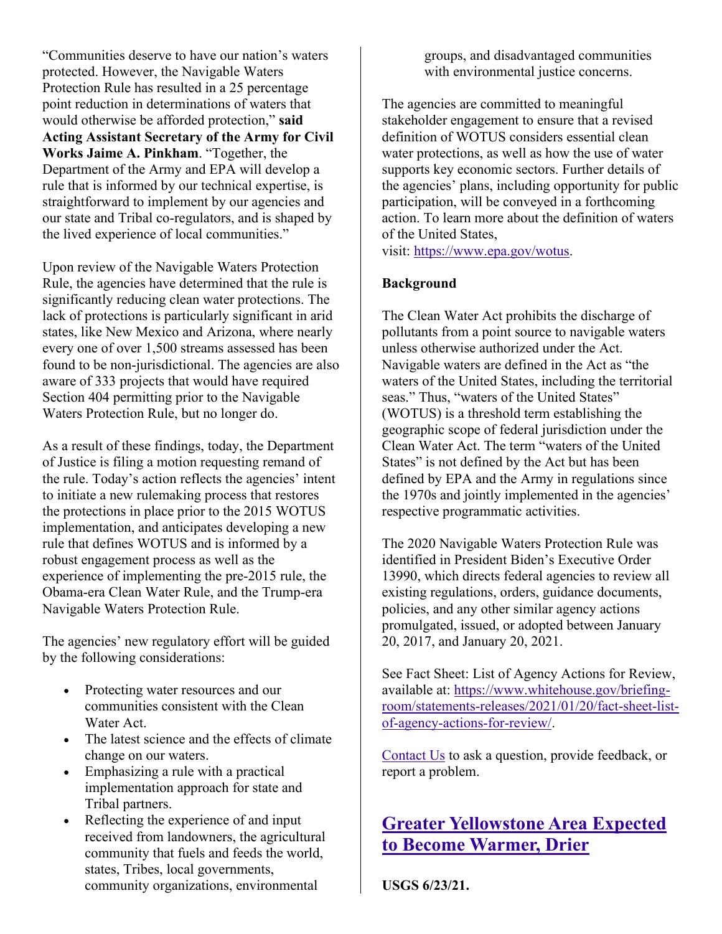"Communities deserve to have our nation's waters protected. However, the Navigable Waters Protection Rule has resulted in a 25 percentage point reduction in determinations of waters that would otherwise be afforded protection," **said Acting Assistant Secretary of the Army for Civil Works Jaime A. Pinkham**. "Together, the Department of the Army and EPA will develop a rule that is informed by our technical expertise, is straightforward to implement by our agencies and our state and Tribal co-regulators, and is shaped by the lived experience of local communities."

Upon review of the Navigable Waters Protection Rule, the agencies have determined that the rule is significantly reducing clean water protections. The lack of protections is particularly significant in arid states, like New Mexico and Arizona, where nearly every one of over 1,500 streams assessed has been found to be non-jurisdictional. The agencies are also aware of 333 projects that would have required Section 404 permitting prior to the Navigable Waters Protection Rule, but no longer do.

As a result of these findings, today, the Department of Justice is filing a motion requesting remand of the rule. Today's action reflects the agencies' intent to initiate a new rulemaking process that restores the protections in place prior to the 2015 WOTUS implementation, and anticipates developing a new rule that defines WOTUS and is informed by a robust engagement process as well as the experience of implementing the pre-2015 rule, the Obama-era Clean Water Rule, and the Trump-era Navigable Waters Protection Rule.

The agencies' new regulatory effort will be guided by the following considerations:

- Protecting water resources and our communities consistent with the Clean Water Act.
- The latest science and the effects of climate change on our waters.
- Emphasizing a rule with a practical implementation approach for state and Tribal partners.
- Reflecting the experience of and input received from landowners, the agricultural community that fuels and feeds the world, states, Tribes, local governments, community organizations, environmental

groups, and disadvantaged communities with environmental justice concerns.

The agencies are committed to meaningful stakeholder engagement to ensure that a revised definition of WOTUS considers essential clean water protections, as well as how the use of water supports key economic sectors. Further details of the agencies' plans, including opportunity for public participation, will be conveyed in a forthcoming action. To learn more about the definition of waters of the United States,

visit: [https://www.epa.gov/wotus.](https://www.epa.gov/wotus)

#### **Background**

The Clean Water Act prohibits the discharge of pollutants from a point source to navigable waters unless otherwise authorized under the Act. Navigable waters are defined in the Act as "the waters of the United States, including the territorial seas." Thus, "waters of the United States" (WOTUS) is a threshold term establishing the geographic scope of federal jurisdiction under the Clean Water Act. The term "waters of the United States" is not defined by the Act but has been defined by EPA and the Army in regulations since the 1970s and jointly implemented in the agencies' respective programmatic activities.

The 2020 Navigable Waters Protection Rule was identified in President Biden's Executive Order 13990, which directs federal agencies to review all existing regulations, orders, guidance documents, policies, and any other similar agency actions promulgated, issued, or adopted between January 20, 2017, and January 20, 2021.

See Fact Sheet: List of Agency Actions for Review, available at: [https://www.whitehouse.gov/briefing](https://www.whitehouse.gov/briefing-room/statements-releases/2021/01/20/fact-sheet-list-of-agency-actions-for-review)[room/statements-releases/2021/01/20/fact-sheet-list](https://www.whitehouse.gov/briefing-room/statements-releases/2021/01/20/fact-sheet-list-of-agency-actions-for-review)[of-agency-actions-for-review](https://www.whitehouse.gov/briefing-room/statements-releases/2021/01/20/fact-sheet-list-of-agency-actions-for-review)[/.](https://www.whitehouse.gov/briefing-room/statements-releases/2021/01/20/fact-sheet-list-of-agency-actions-for-review/)

[Contact Us](https://www.epa.gov/newsreleases/forms/contact-us) to ask a question, provide feedback, or report a problem.

#### **[Greater Yellowstone Area Expected](https://www.usgs.gov/news/greater-yellowstone-area-expected-become-warmer-drier)  [to Become Warmer, Drier](https://www.usgs.gov/news/greater-yellowstone-area-expected-become-warmer-drier)**

**USGS 6/23/21.**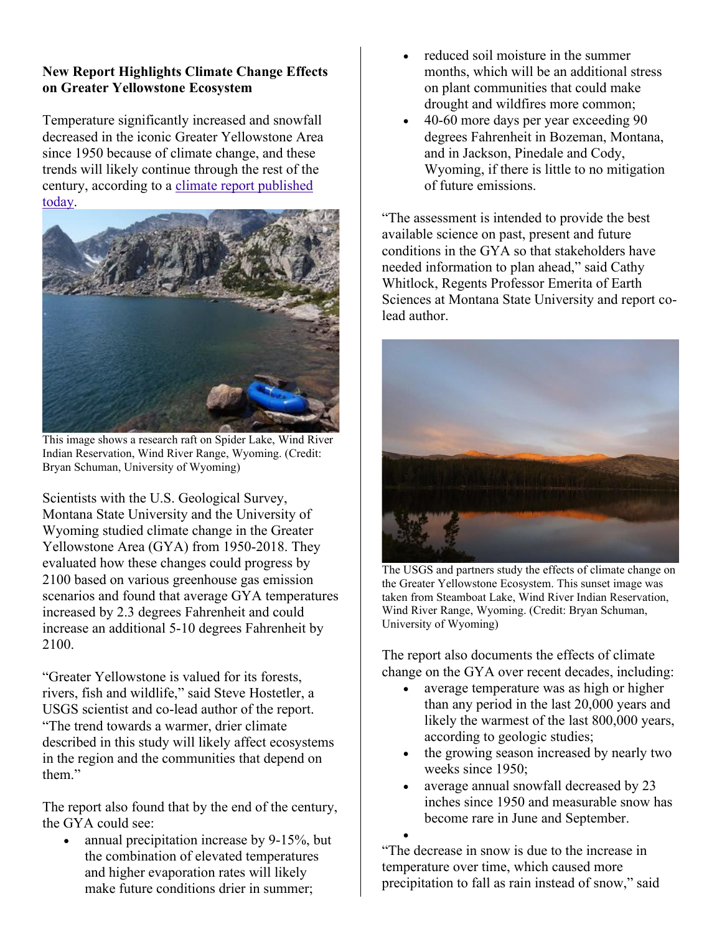#### **New Report Highlights Climate Change Effects on Greater Yellowstone Ecosystem**

Temperature significantly increased and snowfall decreased in the iconic Greater Yellowstone Area since 1950 because of climate change, and these trends will likely continue through the rest of the century, according to a [climate report published](http://www.gyclimate.org/)  [today.](http://www.gyclimate.org/)



This image shows a research raft on Spider Lake, Wind River Indian Reservation, Wind River Range, Wyoming. (Credit: Bryan Schuman, University of Wyoming)

Scientists with the U.S. Geological Survey, Montana State University and the University of Wyoming studied climate change in the Greater Yellowstone Area (GYA) from 1950-2018. They evaluated how these changes could progress by 2100 based on various greenhouse gas emission scenarios and found that average GYA temperatures increased by 2.3 degrees Fahrenheit and could increase an additional 5-10 degrees Fahrenheit by 2100.

"Greater Yellowstone is valued for its forests, rivers, fish and wildlife," said Steve Hostetler, a USGS scientist and co-lead author of the report. "The trend towards a warmer, drier climate described in this study will likely affect ecosystems in the region and the communities that depend on them."

The report also found that by the end of the century, the GYA could see:

• annual precipitation increase by 9-15%, but the combination of elevated temperatures and higher evaporation rates will likely make future conditions drier in summer;

- reduced soil moisture in the summer months, which will be an additional stress on plant communities that could make drought and wildfires more common;
- 40-60 more days per year exceeding 90 degrees Fahrenheit in Bozeman, Montana, and in Jackson, Pinedale and Cody, Wyoming, if there is little to no mitigation of future emissions.

"The assessment is intended to provide the best available science on past, present and future conditions in the GYA so that stakeholders have needed information to plan ahead," said Cathy Whitlock, Regents Professor Emerita of Earth Sciences at Montana State University and report colead author.



The USGS and partners study the effects of climate change on the Greater Yellowstone Ecosystem. This sunset image was taken from Steamboat Lake, Wind River Indian Reservation, Wind River Range, Wyoming. (Credit: Bryan Schuman, University of Wyoming)

The report also documents the effects of climate change on the GYA over recent decades, including:

- average temperature was as high or higher than any period in the last 20,000 years and likely the warmest of the last 800,000 years, according to geologic studies;
- the growing season increased by nearly two weeks since 1950;
- average annual snowfall decreased by 23 inches since 1950 and measurable snow has become rare in June and September.

• "The decrease in snow is due to the increase in temperature over time, which caused more precipitation to fall as rain instead of snow," said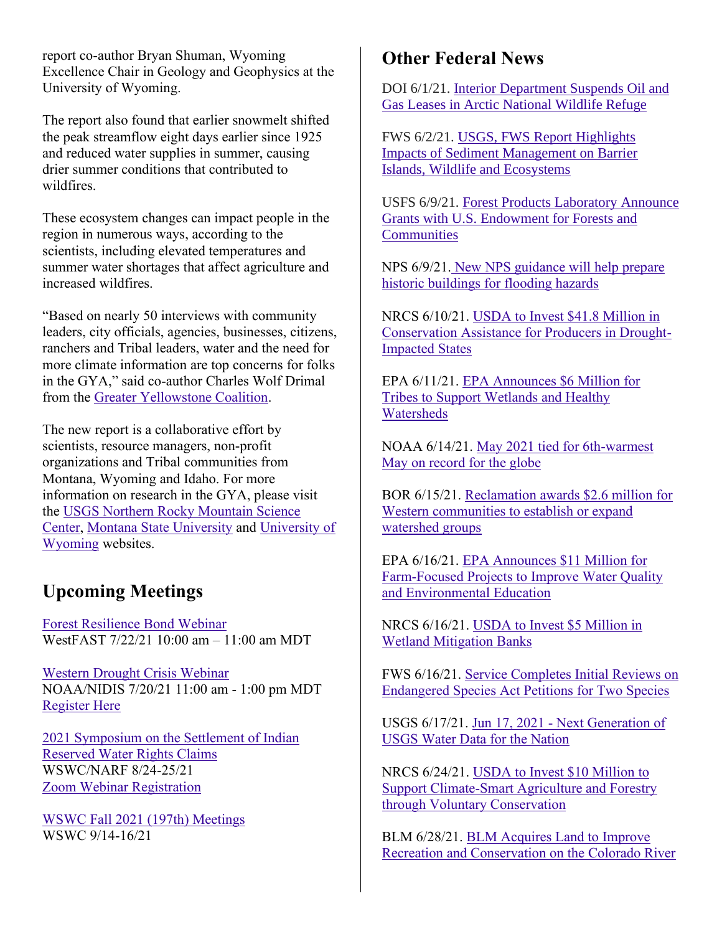report co-author Bryan Shuman, Wyoming Excellence Chair in Geology and Geophysics at the University of Wyoming.

The report also found that earlier snowmelt shifted the peak streamflow eight days earlier since 1925 and reduced water supplies in summer, causing drier summer conditions that contributed to wildfires.

These ecosystem changes can impact people in the region in numerous ways, according to the scientists, including elevated temperatures and summer water shortages that affect agriculture and increased wildfires.

"Based on nearly 50 interviews with community leaders, city officials, agencies, businesses, citizens, ranchers and Tribal leaders, water and the need for more climate information are top concerns for folks in the GYA," said co-author Charles Wolf Drimal from the [Greater Yellowstone Coalition.](https://greateryellowstone.org/)

The new report is a collaborative effort by scientists, resource managers, non-profit organizations and Tribal communities from Montana, Wyoming and Idaho. For more information on research in the GYA, please visit the [USGS Northern Rocky Mountain Science](https://www.usgs.gov/centers/norock)  [Center,](https://www.usgs.gov/centers/norock) [Montana State University](https://www.montana.edu/) and [University of](http://www.uwyo.edu/)  [Wyoming](http://www.uwyo.edu/) websites.

## **Upcoming Meetings**

[Forest Resilience Bond](https://westernstateswater.org/events/forest-resilience-partnership/) Webinar WestFAST 7/22/21 10:00 am – 11:00 am MDT

[Western Drought Crisis Webinar](https://www.drought.gov/events/western-drought-crisis-webinar) NOAA/NIDIS 7/20/21 11:00 am - 1:00 pm MDT [Register Here](https://register.gotowebinar.com/register/1749834688606734350)

[2021 Symposium on the Settlement of Indian](https://westernstateswater.org/events/2021-symposium-on-the-settlement-of-indian-reserved-water-rights-claims/)  [Reserved Water Rights Claims](https://westernstateswater.org/events/2021-symposium-on-the-settlement-of-indian-reserved-water-rights-claims/) WSWC/NARF 8/24-25/21 [Zoom Webinar Registration](https://us02web.zoom.us/webinar/register/WN_u6fkmQPVRwqVc11t39cYHA)

[WSWC Fall 2021 \(197th\) Meetings](https://westernstateswater.org/events/wswc-fall-2021-197th-meetings/) WSWC 9/14-16/21

## **Other Federal News**

DOI 6/1/21. [Interior Department Suspends Oil and](https://www.doi.gov/pressreleases/interior-department-suspends-oil-and-gas-leases-arctic-national-wildlife-refuge)  [Gas Leases in Arctic National Wildlife Refuge](https://www.doi.gov/pressreleases/interior-department-suspends-oil-and-gas-leases-arctic-national-wildlife-refuge)

FWS 6/2/21. [USGS, FWS Report Highlights](https://www.fws.gov/news/ShowNews.cfm?ref=usgs,-fws-report-highlights-impacts-of-sediment-management-on-barrier-&_ID=36921)  [Impacts of Sediment Management on Barrier](https://www.fws.gov/news/ShowNews.cfm?ref=usgs,-fws-report-highlights-impacts-of-sediment-management-on-barrier-&_ID=36921)  [Islands, Wildlife and Ecosystems](https://www.fws.gov/news/ShowNews.cfm?ref=usgs,-fws-report-highlights-impacts-of-sediment-management-on-barrier-&_ID=36921)

USFS 6/9/21. [Forest Products Laboratory Announce](https://www.fs.usda.gov/news/releases/forest-products-laboratory-announce-grants-us-endowment-forests-and-communities)  [Grants with U.S. Endowment for Forests and](https://www.fs.usda.gov/news/releases/forest-products-laboratory-announce-grants-us-endowment-forests-and-communities)  **[Communities](https://www.fs.usda.gov/news/releases/forest-products-laboratory-announce-grants-us-endowment-forests-and-communities)** 

NPS 6/9/21. [New NPS guidance will help prepare](https://www.nps.gov/orgs/1207/flood-guidance-2021.htm)  [historic buildings for flooding hazards](https://www.nps.gov/orgs/1207/flood-guidance-2021.htm)

NRCS 6/10/21. [USDA to Invest \\$41.8 Million in](https://www.nrcs.usda.gov/wps/portal/nrcs/detail/national/newsroom/releases/?cid=NRCSEPRD1788423)  [Conservation Assistance for Producers in Drought-](https://www.nrcs.usda.gov/wps/portal/nrcs/detail/national/newsroom/releases/?cid=NRCSEPRD1788423)[Impacted States](https://www.nrcs.usda.gov/wps/portal/nrcs/detail/national/newsroom/releases/?cid=NRCSEPRD1788423)

EPA 6/11/21. [EPA Announces \\$6 Million for](https://www.epa.gov/newsreleases/epa-announces-6-million-tribes-support-wetlands-and-healthy-watersheds)  [Tribes to Support Wetlands and Healthy](https://www.epa.gov/newsreleases/epa-announces-6-million-tribes-support-wetlands-and-healthy-watersheds)  [Watersheds](https://www.epa.gov/newsreleases/epa-announces-6-million-tribes-support-wetlands-and-healthy-watersheds)

NOAA 6/14/21. [May 2021 tied for 6th-warmest](https://www.noaa.gov/news/may-2021-tied-for-6th-warmest-may-on-record-for-globe)  [May on record for the globe](https://www.noaa.gov/news/may-2021-tied-for-6th-warmest-may-on-record-for-globe)

BOR 6/15/21. [Reclamation awards \\$2.6 million for](https://www.usbr.gov/newsroom/#/news-release/3890?filterBy=region)  [Western communities to establish or expand](https://www.usbr.gov/newsroom/#/news-release/3890?filterBy=region)  [watershed groups](https://www.usbr.gov/newsroom/#/news-release/3890?filterBy=region)

EPA 6/16/21. [EPA Announces](https://www.epa.gov/newsreleases/epa-announces-11-million-farm-focused-projects-improve-water-quality-and-environmental) \$11 Million for [Farm-Focused Projects to Improve Water Quality](https://www.epa.gov/newsreleases/epa-announces-11-million-farm-focused-projects-improve-water-quality-and-environmental)  [and Environmental Education](https://www.epa.gov/newsreleases/epa-announces-11-million-farm-focused-projects-improve-water-quality-and-environmental)

NRCS 6/16/21. [USDA to Invest \\$5 Million in](https://www.nrcs.usda.gov/wps/portal/nrcs/detail/national/newsroom/releases/?cid=NRCSEPRD1790821)  Wetland [Mitigation Banks](https://www.nrcs.usda.gov/wps/portal/nrcs/detail/national/newsroom/releases/?cid=NRCSEPRD1790821)

FWS 6/16/21. [Service Completes Initial Reviews on](https://www.fws.gov/news/ShowNews.cfm?ref=service-completes-initial-reviews-on-endangered-species-act-petitions-f&_ID=36936)  [Endangered Species Act Petitions for Two Species](https://www.fws.gov/news/ShowNews.cfm?ref=service-completes-initial-reviews-on-endangered-species-act-petitions-f&_ID=36936)

USGS 6/17/21. Jun 17, 2021 - [Next Generation of](https://help.waterdata.usgs.gov/news/january-22-2018)  [USGS Water Data for the Nation](https://help.waterdata.usgs.gov/news/january-22-2018)

NRCS 6/24/21. [USDA to Invest \\$10 Million to](https://www.nrcs.usda.gov/wps/portal/nrcs/detail/national/newsroom/releases/?cid=NRCSEPRD1793821)  [Support Climate-Smart Agriculture and Forestry](https://www.nrcs.usda.gov/wps/portal/nrcs/detail/national/newsroom/releases/?cid=NRCSEPRD1793821)  [through Voluntary Conservation](https://www.nrcs.usda.gov/wps/portal/nrcs/detail/national/newsroom/releases/?cid=NRCSEPRD1793821)

BLM 6/28/21. [BLM Acquires Land to Improve](https://www.blm.gov/press-release/blm-acquires-land-improve-recreation-and-conservation-colorado-river)  [Recreation and Conservation on the Colorado River](https://www.blm.gov/press-release/blm-acquires-land-improve-recreation-and-conservation-colorado-river)